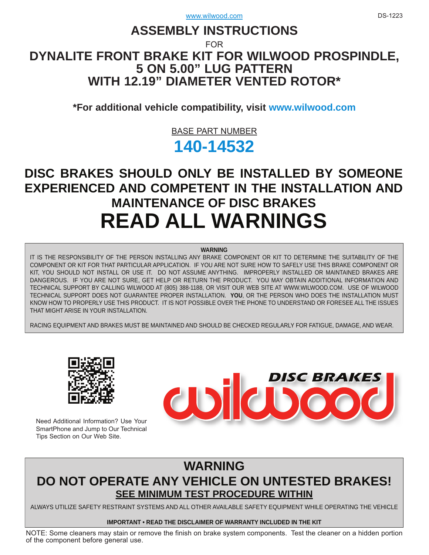## **ASSEMBLY INSTRUCTIONS**

FOR

## **[DYNALITE FRONT BRAKE KIT FOR WILWOOD PROSPINDLE,](www.wilwood.com) 5 ON 5.00" LUG PATTERN WITH 12.19" DIAMETER VENTED ROTOR\***

**\*For additional vehicle compatibility, visit<www.wilwood.com>**

## BASE PART NUMBER

# **[140-14532](http://www.wilwood.com/Search/PartNoSearch.aspx?q=140-14532)**

# **DISC BRAKES SHOULD ONLY BE INSTALLED BY SOMEONE [EXPERIENCED AND COMPETENT IN THE INSTALLATION AND](www.wilwood.com)  MAINTENANCE OF DISC BRAKES READ ALL WARNINGS**

#### **WARNING**

IT IS THE RESPONSIBILITY OF THE PERSON INSTALLING ANY BRAKE COMPONENT OR KIT TO DETERMINE THE SUITABILITY OF THE COMPONENT OR KIT FOR THAT PARTICULAR APPLICATION. IF YOU ARE NOT SURE HOW TO SAFELY USE THIS BRAKE COMPONENT OR KIT, YOU SHOULD NOT INSTALL OR USE IT. DO NOT ASSUME ANYTHING. IMPROPERLY INSTALLED OR MAINTAINED BRAKES ARE [DANGEROUS. IF YOU ARE NOT SURE, GET HELP OR RETURN THE PRODUCT. YOU MAY OBTAIN ADDITIONAL INFORMATION AND](www.wilwood.com)  TECHNICAL SUPPORT BY CALLING WILWOOD AT (805) 388-1188, OR VISIT OUR WEB SITE AT WWW.WILWOOD.COM. USE OF WILWOOD TECHNICAL SUPPORT DOES NOT GUARANTEE PROPER INSTALLATION. **YOU**, OR THE PERSON WHO DOES THE INSTALLATION MUST KNOW HOW TO PROPERLY USE THIS PRODUCT. IT IS NOT POSSIBLE OVER THE PHONE TO UNDERSTAND OR FORESEE ALL THE ISSUES THAT MIGHT ARISE IN YOUR INSTALLATION.

RACING EQUIPMENT AND BRAKES MUST BE MAINTAINED AND SHOULD BE CHECKED REGULARLY FOR FATIGUE, DAMAGE, AND WEAR.



Need Additional Information? Use Your SmartPhone and Jump to Our Technical Tips Section on Our Web Site.



## **WARNING [DO NOT OPERATE ANY VEHICLE ON UNTESTED BRAKES!](www.wilwood.com) SEE MINIMUM TEST PROCEDURE WITHIN**

ALWAYS UTILIZE SAFETY RESTRAINT SYSTEMS AND ALL OTHER AVAILABLE SAFETY EQUIPMENT WHILE OPERATING THE VEHICLE

### **IMPORTANT • READ THE DISCLAIMER OF WARRANTY INCLUDED IN THE KIT**

[NOTE: Some cleaners may stain or remove the finish on brake system components. Test the cleaner on a hidden portion](www.wilwood.com) of the component before general use.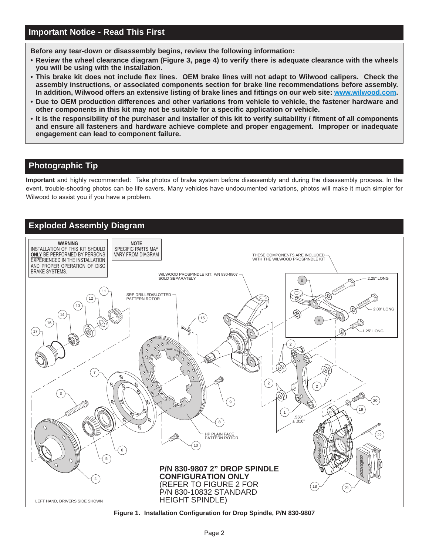**Before any tear-down or disassembly begins, review the following information:**

- **Review the wheel clearance diagram (Figure 3, page 4) to verify there is adequate clearance with the wheels you will be using with the installation.**
- **This brake kit does not include flex lines. OEM brake lines will not adapt to Wilwood calipers. Check the assembly instructions, or associated components section for brake line recommendations before assembly. In addition, Wilwood offers an extensive listing of brake lines and fittings on our web site: www.wilwood.com.**
- **Due to OEM production differences and other variations from vehicle to vehicle, the fastener hardware and other components in this kit may not be suitable for a specific application or vehicle.**
- **[It is the responsibility of the purchaser and installer of this kit to verify suitability / fitment of all components](www.wilwood.com) and ensure all fasteners and hardware achieve complete and proper engagement. Improper or inadequate engagement can lead to component failure.**

## **Photographic Tip**

**Important** and highly recommended: Take photos of brake system before disassembly and during the disassembly process. In the [event, trouble-shooting photos can be life savers. Many vehicles have undocumented variations, photos will make it much simpler for](www.wilwood.com) Wilwood to assist you if you have a problem.

## **Exploded Assembly Diagram**



**[Figure 1. Installation Configuration for Drop Spindle, P/N 830-9807](www.wilwood.com)**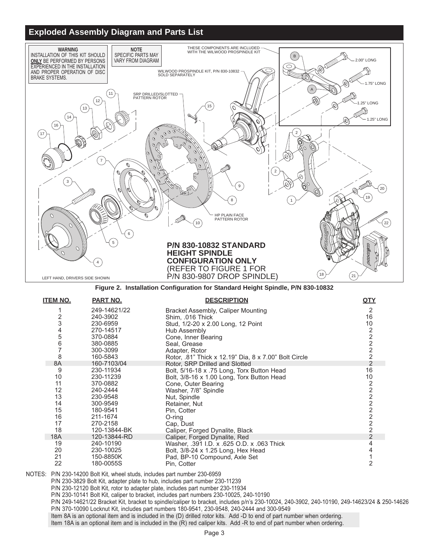## **Exploded Assembly Diagram and Parts List**



**[Figure 2. Installation Configuration for Standard Height Spindle, P/N 830-10832](www.wilwood.com)**

| <b>ITEM NO.</b> | PART NO.     | <b>DESCRIPTION</b>                                    | QTY                   |
|-----------------|--------------|-------------------------------------------------------|-----------------------|
|                 | 249-14621/22 | Bracket Assembly, Caliper Mounting                    | 2                     |
| 2               | 240-3902     | Shim, .016 Thick                                      | 16                    |
| 3               | 230-6959     | Stud, 1/2-20 x 2.00 Long, 12 Point                    | 10                    |
| 4               | 270-14517    | Hub Assembly                                          |                       |
| 5               | 370-0884     | Cone, Inner Bearing                                   | $2222$<br>2<br>2<br>2 |
| 6               | 380-0885     | Seal, Grease                                          |                       |
| $\overline{7}$  | 300-3099     | Adapter, Rotor                                        |                       |
| 8               | 160-5843     | Rotor, .81" Thick x 12.19" Dia, 8 x 7.00" Bolt Circle |                       |
| 8A              | 160-7103/04  | Rotor, SRP Drilled and Slotted                        | $\overline{2}$        |
| 9               | 230-11934    | Bolt, 5/16-18 x .75 Long, Torx Button Head            | 16                    |
| 10              | 230-11239    | Bolt, 3/8-16 x 1.00 Long, Torx Button Head            | 10                    |
| 11              | 370-0882     | Cone, Outer Bearing                                   | 2 2 2 2 2 2 2 2       |
| 12              | 240-2444     | Washer, 7/8" Spindle                                  |                       |
| 13              | 230-9548     | Nut, Spindle                                          |                       |
| 14              | 300-9549     | Retainer, Nut                                         |                       |
| 15              | 180-9541     | Pin, Cotter                                           |                       |
| 16              | 211-1674     | $O$ -ring                                             |                       |
| 17              | 270-2158     | Cap, Dust                                             |                       |
| 18              | 120-13844-BK | Caliper, Forged Dynalite, Black                       |                       |
| 18A             | 120-13844-RD | Caliper, Forged Dynalite, Red                         | $\overline{2}$        |
| 19              | 240-10190    | Washer, .391 I.D. x .625 O.D. x .063 Thick            | 4                     |
| 20              | 230-10025    | Bolt, 3/8-24 x 1.25 Long, Hex Head                    | 4                     |
| 21              | 150-8850K    | Pad, BP-10 Compound, Axle Set                         |                       |
| 22              | 180-0055S    | Pin, Cotter                                           | 2                     |

NOTES: P/N 230-14200 Bolt Kit, wheel studs, includes part number 230-6959

P/N 230-3829 Bolt Kit, adapter plate to hub, includes part number 230-11239

P/N 230-12120 Bolt Kit, rotor to adapter plate, includes part number 230-11934

P/N 230-10141 Bolt Kit, caliper to bracket, includes part numbers 230-10025, 240-10190

[P/N 249-14621/22 Bracket Kit, bracket to spindle/caliper to bracket, includes p/n's 230-10024, 240-3902, 240-10190, 249-14623/24 & 250-14626](www.wilwood.com) P/N 370-10090 Locknut Kit, includes part numbers 180-9541, 230-9548, 240-2444 and 300-9549

Item 8A is an optional item and is included in the (D) drilled rotor kits. Add -D to end of part number when ordering.

Item 18A is an optional item and is included in the (R) red caliper kits. Add -R to end of part number when ordering.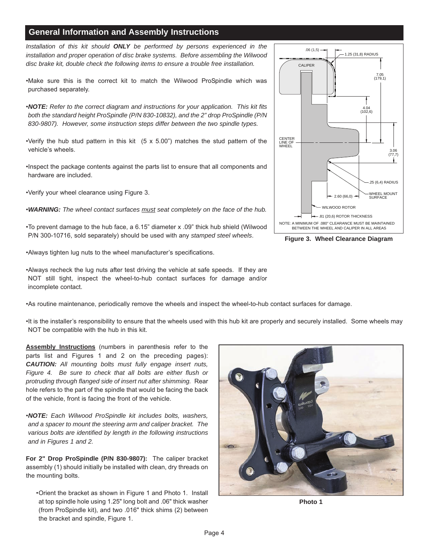## **General Information and Assembly Instructions**

*Installation of this kit should ONLY be performed by persons experienced in the installation and proper operation of disc brake systems. Before assembling the Wilwood disc brake kit, double check the following items to ensure a trouble free installation.*

•Make sure this is the correct kit to match the Wilwood ProSpindle which was purchased separately.

•*NOTE: Refer to the correct diagram and instructions for your application. This kit fits both the standard height ProSpindle (P/N 830-10832), and the 2" drop ProSpindle (P/N 830-9807). However, some instruction steps differ between the two spindle types.*

•Verify the hub stud pattern in this kit  $(5 \times 5.00)$ " matches the stud pattern of the vehicle's wheels.

•Inspect the package contents against the parts list to ensure that all components and hardware are included.

•Verify your wheel clearance using Figure 3.

•*WARNING: The wheel contact surfaces must seat completely on the face of the hub.*

•To prevent damage to the hub face, a 6.15" diameter x .09" thick hub shield (Wilwood P/N 300-10716, sold separately) should be used with any *stamped steel wheels*.

•Always tighten lug nuts to the wheel manufacturer's specifications.

•Always recheck the lug nuts after test driving the vehicle at safe speeds. If they are NOT still tight, inspect the wheel-to-hub contact surfaces for damage and/or incomplete contact.

•As routine maintenance, periodically remove the wheels and inspect the wheel-to-hub contact surfaces for damage.

[•It is the installer's responsibility to ensure that the wheels used with this hub kit are properly and securely installed. Some wheels may](www.wilwood.com) NOT be compatible with the hub in this kit.

**Assembly Instructions** (numbers in parenthesis refer to the parts list and Figures 1 and 2 on the preceding pages): *CAUTION: All mounting bolts must fully engage insert nuts, Figure 4. Be sure to check that all bolts are either flush or protruding through flanged side of insert nut after shimming.* Rear hole refers to the part of the spindle that would be facing the back of the vehicle, front is facing the front of the vehicle.

•*NOTE: Each Wilwood ProSpindle kit includes bolts, washers, and a spacer to mount the steering arm and caliper bracket. The various bolts are identified by length in the following instructions and in Figures 1 and 2.*

**For 2" Drop ProSpindle (P/N 830-9807):** The caliper bracket assembly (1) should initially be installed with clean, dry threads on the mounting bolts.

•Orient the bracket as shown in Figure 1 and Photo 1. Install at top spindle hole using 1.25" long bolt and .06" thick washer (from ProSpindle kit), and two .016" thick shims (2) between the bracket and spindle, Figure 1.



**Photo 1**



**Figure 3. Wheel Clearance Diagram**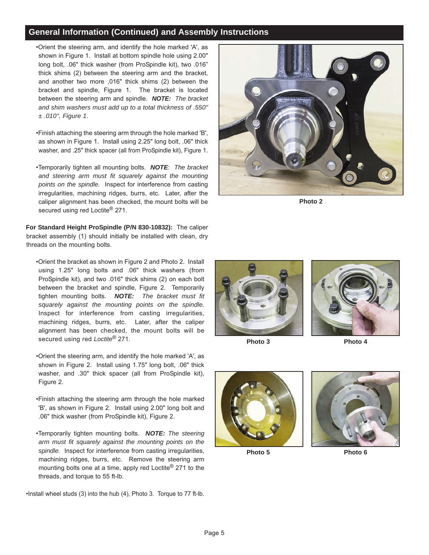## **General Information (Continued) and Assembly Instructions**

•Orient the steering arm, and identify the hole marked 'A', as shown in Figure 1. Install at bottom spindle hole using 2.00" long bolt, .06" thick washer (from ProSpindle kit), two .016" thick shims (2) between the steering arm and the bracket, and another two more ,016" thick shims (2) between the bracket and spindle, Figure 1. The bracket is located between the steering arm and spindle. *NOTE: The bracket and shim washers must add up to a total thickness of .550" ± .010", Figure 1*.

- •Finish attaching the steering arm through the hole marked 'B', as shown in Figure 1. Install using 2.25" long bolt, .06" thick washer, and .25" thick spacer (all from ProSpindle kit), Figure 1.
- •Temporarily tighten all mounting bolts. *NOTE: The bracket and steering arm must fit squarely against the mounting points on the spindle.* Inspect for interference from casting irregularities, machining ridges, burrs, etc. Later, after the caliper alignment has been checked, the mount bolts will be secured using red Loctite<sup>®</sup> 271.

**For Standard Height ProSpindle (P/N 830-10832):** The caliper [bracket assembly \(1\) should initially be installed with clean, dry](www.wilwood.com) threads on the mounting bolts.

- •Orient the bracket as shown in Figure 2 and Photo 2. Install using 1.25" long bolts and .06" thick washers (from ProSpindle kit), and two .016" thick shims (2) on each bolt between the bracket and spindle, Figure 2. Temporarily tighten mounting bolts. *NOTE: The bracket must fit squarely against the mounting points on the spindle.* Inspect for interference from casting irregularities, machining ridges, burrs, etc. Later, after the caliper alignment has been checked, the mount bolts will be secured using red *Loctite*® 271.
- •Orient the steering arm, and identify the hole marked 'A', as shown in Figure 2. Install using 1.75" long bolt, .06" thick washer, and .30" thick spacer (all from ProSpindle kit), Figure 2.
- •Finish attaching the steering arm through the hole marked 'B', as shown in Figure 2. Install using 2.00" long bolt and .06" thick washer (from ProSpindle kit), Figure 2.
- •Temporarily tighten mounting bolts. *NOTE: The steering arm must fit squarely against the mounting points on the spindle.* Inspect for interference from casting irregularities, machining ridges, burrs, etc. Remove the steering arm mounting bolts one at a time, apply red Loctite® 271 to the threads, and torque to 55 ft-lb.

•Install wheel studs (3) into the hub (4), Photo 3. Torque to 77 ft-lb.



**Photo 2**





**Photo 3 Photo 4**





**Photo 5 Photo 6**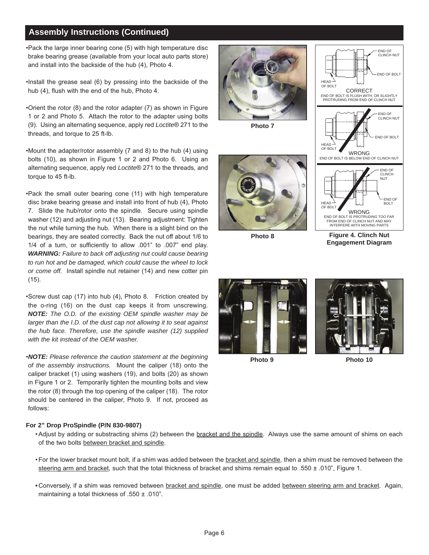## **Assembly Instructions (Continued)**

•Pack the large inner bearing cone (5) with high temperature disc brake bearing grease (available from your local auto parts store) and install into the backside of the hub (4), Photo 4.

•Install the grease seal (6) by pressing into the backside of the hub (4), flush with the end of the hub, Photo 4.

•Orient the rotor (8) and the rotor adapter (7) as shown in Figure 1 or 2 and Photo 5. Attach the rotor to the adapter using bolts (9). Using an alternating sequence, apply red *Loctite*® 271 to the threads, and torque to 25 ft-lb.

•Mount the adapter/rotor assembly (7 and 8) to the hub (4) using bolts (10), as shown in Figure 1 or 2 and Photo 6. Using an alternating sequence, apply red *Loctite*® 271 to the threads, and torque to 45 ft-lb.

•Pack the small outer bearing cone (11) with high temperature disc brake bearing grease and install into front of hub (4), Photo 7. Slide the hub/rotor onto the spindle. Secure using spindle washer (12) and adjusting nut (13). Bearing adjustment: Tighten the nut while turning the hub. When there is a slight bind on the bearings, they are seated correctly. Back the nut off about 1/6 to 1/4 of a turn, or sufficiently to allow .001" to .007" end play. *WARNING: Failure to back off adjusting nut could cause bearing to run hot and be damaged, which could cause the wheel to lock or come off.* Install spindle nut retainer (14) and new cotter pin (15).

•Screw dust cap (17) into hub (4), Photo 8. Friction created by the o-ring (16) on the dust cap keeps it from unscrewing. *NOTE: The O.D. of the existing OEM spindle washer may be larger than the I.D. of the dust cap not allowing it to seat against the hub face. Therefore, use the spindle washer (12) supplied with the kit instead of the OEM washer.*

•*NOTE: Please reference the caution statement at the beginning of the assembly instructions.* Mount the caliper (18) onto the caliper bracket (1) using washers (19), and bolts (20) as shown in Figure 1 or 2. Temporarily tighten the mounting bolts and view the rotor (8) through the top opening of the caliper (18). The rotor should be centered in the caliper, Photo 9. If not, proceed as follows:

#### **For 2" Drop ProSpindle (P/N 830-9807)**

- [Adjust by adding or substracting shims \(2\) between the bracket and the spindle. Always use the same amount of shims on each](www.wilwood.com) of the two bolts between bracket and spindle.
- For the lower bracket mount bolt, if a shim was added between the bracket and spindle, then a shim must be removed between the steering arm and bracket, such that the total thickness of bracket and shims remain equal to .550  $\pm$  .010", Figure 1.
- **•** Conversely, if a shim was removed between bracket and spindle, one must be added between steering arm and bracket. Again, maintaining a total thickness of .550 ± .010".



**Photo 7**



**Photo 8**



**Figure 4. Clinch Nut Engagement Diagram**





**Photo 9 Photo 10**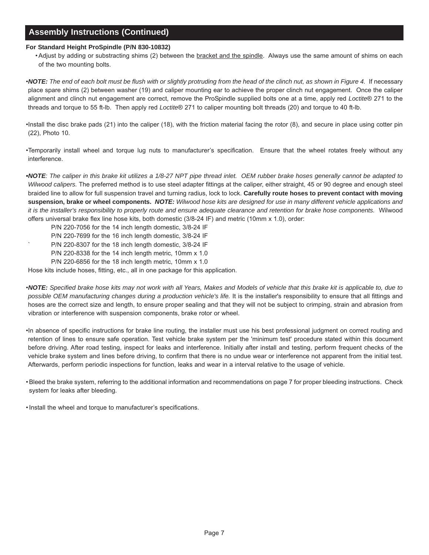## **Assembly Instructions (Continued)**

#### **For Standard Height ProSpindle (P/N 830-10832)**

• Adjust by adding or substracting shims (2) between the bracket and the spindle. Always use the same amount of shims on each of the two mounting bolts.

•*NOTE: The end of each bolt must be flush with or slightly protruding from the head of the clinch nut, as shown in Figure 4.* If necessary place spare shims (2) between washer (19) and caliper mounting ear to achieve the proper clinch nut engagement. Once the caliper alignment and clinch nut engagement are correct, remove the ProSpindle supplied bolts one at a time, apply red *Loctite*® 271 to the threads and torque to 55 ft-lb. Then apply red *Loctite*® 271 to caliper mounting bolt threads (20) and torque to 40 ft-lb.

•Install the disc brake pads (21) into the caliper (18), with the friction material facing the rotor (8), and secure in place using cotter pin (22), Photo 10.

•Temporarily install wheel and torque lug nuts to manufacturer's specification. Ensure that the wheel rotates freely without any interference.

*•NOTE: The caliper in this brake kit utilizes a 1/8-27 NPT pipe thread inlet. OEM rubber brake hoses generally cannot be adapted to Wilwood calipers.* The preferred method is to use steel adapter fittings at the caliper, either straight, 45 or 90 degree and enough steel braided line to allow for full suspension travel and turning radius, lock to lock. **Carefully route hoses to prevent contact with moving suspension, brake or wheel components.** *NOTE: Wilwood hose kits are designed for use in many different vehicle applications and it is the installer's responsibility to properly route and ensure adequate clearance and retention for brake hose components.* Wilwood offers universal brake flex line hose kits, both domestic (3/8-24 IF) and metric (10mm x 1.0), order:

- P/N 220-7056 for the 14 inch length domestic, 3/8-24 IF
- P/N 220-7699 for the 16 inch length domestic, 3/8-24 IF
- P/N 220-8307 for the 18 inch length domestic, 3/8-24 IF
	- P/N 220-8338 for the 14 inch length metric, 10mm x 1.0
	- P/N 220-6856 for the 18 inch length metric, 10mm x 1.0

Hose kits include hoses, fitting, etc., all in one package for this application.

•*NOTE: Specified brake hose kits may not work with all Years, Makes and Models of vehicle that this brake kit is applicable to, due to possible OEM manufacturing changes during a production vehicle's life.* It is the installer's responsibility to ensure that all fittings and hoses are the correct size and length, to ensure proper sealing and that they will not be subject to crimping, strain and abrasion from vibration or interference with suspension components, brake rotor or wheel.

•In absence of specific instructions for brake line routing, the installer must use his best professional judgment on correct routing and retention of lines to ensure safe operation. Test vehicle brake system per the 'minimum test' procedure stated within this document before driving. After road testing, inspect for leaks and interference. Initially after install and testing, perform frequent checks of the vehicle brake system and lines before driving, to confirm that there is no undue wear or interference not apparent from the initial test. Afterwards, perform periodic inspections for function, leaks and wear in a interval relative to the usage of vehicle.

[• Bleed the brake system, referring to the additional information and recommendations on page 7 for proper bleeding instructions. Check](www.wilwood.com) system for leaks after bleeding.

• Install the wheel and torque to manufacturer's specifications.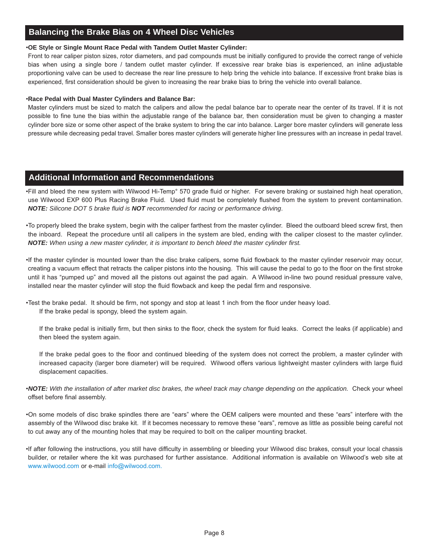## **Balancing the Brake Bias on 4 Wheel Disc Vehicles**

#### •**OE Style or Single Mount Race Pedal with Tandem Outlet Master Cylinder:**

Front to rear caliper piston sizes, rotor diameters, and pad compounds must be initially configured to provide the correct range of vehicle bias when using a single bore / tandem outlet master cylinder. If excessive rear brake bias is experienced, an inline adjustable proportioning valve can be used to decrease the rear line pressure to help bring the vehicle into balance. If excessive front brake bias is experienced, first consideration should be given to increasing the rear brake bias to bring the vehicle into overall balance.

#### •**Race Pedal with Dual Master Cylinders and Balance Bar:**

Master cylinders must be sized to match the calipers and allow the pedal balance bar to operate near the center of its travel. If it is not [possible to fine tune the bias within the adjustable range of the balance bar, then consideration must be given to changing a master](www.wilwood.com) cylinder bore size or some other aspect of the brake system to bring the car into balance. Larger bore master cylinders will generate less pressure while decreasing pedal travel. Smaller bores master cylinders will generate higher line pressures with an increase in pedal travel.

### **Additional Information and Recommendations**

•Fill and bleed the new system with Wilwood Hi-Temp° 570 grade fluid or higher. For severe braking or sustained high heat operation, use Wilwood EXP 600 Plus Racing Brake Fluid. Used fluid must be completely flushed from the system to prevent contamination. *NOTE: Silicone DOT 5 brake fluid is NOT recommended for racing or performance driving*.

•To properly bleed the brake system, begin with the caliper farthest from the master cylinder. Bleed the outboard bleed screw first, then the inboard. Repeat the procedure until all calipers in the system are bled, ending with the caliper closest to the master cylinder. *NOTE: When using a new master cylinder, it is important to bench bleed the master cylinder first.*

•If the master cylinder is mounted lower than the disc brake calipers, some fluid flowback to the master cylinder reservoir may occur, creating a vacuum effect that retracts the caliper pistons into the housing. This will cause the pedal to go to the floor on the first stroke until it has "pumped up" and moved all the pistons out against the pad again. A Wilwood in-line two pound residual pressure valve, installed near the master cylinder will stop the fluid flowback and keep the pedal firm and responsive.

•Test the brake pedal. It should be firm, not spongy and stop at least 1 inch from the floor under heavy load. If the brake pedal is spongy, bleed the system again.

If the brake pedal is initially firm, but then sinks to the floor, check the system for fluid leaks. Correct the leaks (if applicable) and then bleed the system again.

If the brake pedal goes to the floor and continued bleeding of the system does not correct the problem, a master cylinder with increased capacity (larger bore diameter) will be required. Wilwood offers various lightweight master cylinders with large fluid displacement capacities.

•*NOTE: With the installation of after market disc brakes, the wheel track may change depending on the application.* Check your wheel offset before final assembly.

[•On some models of disc brake spindles there are "ears" where the OEM calipers were mounted and these "ears" interfere with the](www.wilwood.com) assembly of the Wilwood disc brake kit. If it becomes necessary to remove these "ears", remove as little as possible being careful not to cut away any of the mounting holes that may be required to bolt on the caliper mounting bracket.

•If after following the instructions, you still have difficulty in assembling or bleeding your Wilwood disc brakes, consult your local chassis builder, or retailer where the kit was purchased for further assistance. Additional information is available on Wilwood's web site at <www.wilwood.com> or e-mail [info@wilwood.com.](mailto:info@wilwood.com)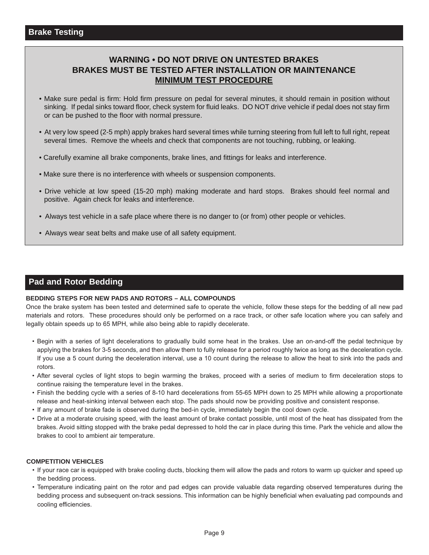## **WARNING • DO NOT DRIVE ON UNTESTED BRAKES BRAKES MUST BE TESTED AFTER INSTALLATION OR MAINTENANCE MINIMUM TEST PROCEDURE**

- Make sure pedal is firm: Hold firm pressure on pedal for several minutes, it should remain in position without sinking. If pedal sinks toward floor, check system for fluid leaks. DO NOT drive vehicle if pedal does not stay firm or can be pushed to the floor with normal pressure.
- [At very low speed \(2-5 mph\) apply brakes hard several times while turning steering from full left to full right, repeat](www.wilwood.com)  several times. Remove the wheels and check that components are not touching, rubbing, or leaking.
- Carefully examine all brake components, brake lines, and fittings for leaks and interference.
- Make sure there is no interference with wheels or suspension components.
- Drive vehicle at low speed (15-20 mph) making moderate and hard stops. Brakes should feel normal and positive. Again check for leaks and interference.
- Always test vehicle in a safe place where there is no danger to (or from) other people or vehicles.
- Always wear seat belts and make use of all safety equipment.

## **Pad and Rotor Bedding**

#### **BEDDING STEPS FOR NEW PADS AND ROTORS – ALL COMPOUNDS**

[Once the brake system has been tested and determined safe to operate the vehicle, follow these steps for the bedding of all new pad](www.wilwood.com) materials and rotors. These procedures should only be performed on a race track, or other safe location where you can safely and legally obtain speeds up to 65 MPH, while also being able to rapidly decelerate.

- Begin with a series of light decelerations to gradually build some heat in the brakes. Use an on-and-off the pedal technique by applying the brakes for 3-5 seconds, and then allow them to fully release for a period roughly twice as long as the deceleration cycle. If you use a 5 count during the deceleration interval, use a 10 count during the release to allow the heat to sink into the pads and rotors.
- After several cycles of light stops to begin warming the brakes, proceed with a series of medium to firm deceleration stops to continue raising the temperature level in the brakes.
- Finish the bedding cycle with a series of 8-10 hard decelerations from 55-65 MPH down to 25 MPH while allowing a proportionate release and heat-sinking interval between each stop. The pads should now be providing positive and consistent response.
- If any amount of brake fade is observed during the bed-in cycle, immediately begin the cool down cycle.
- Drive at a moderate cruising speed, with the least amount of brake contact possible, until most of the heat has dissipated from the brakes. Avoid sitting stopped with the brake pedal depressed to hold the car in place during this time. Park the vehicle and allow the brakes to cool to ambient air temperature.

#### **COMPETITION VEHICLES**

- If your race car is equipped with brake cooling ducts, blocking them will allow the pads and rotors to warm up quicker and speed up the bedding process.
- Temperature indicating paint on the rotor and pad edges can provide valuable data regarding observed temperatures during the bedding process and subsequent on-track sessions. This information can be highly beneficial when evaluating pad compounds and cooling efficiencies.